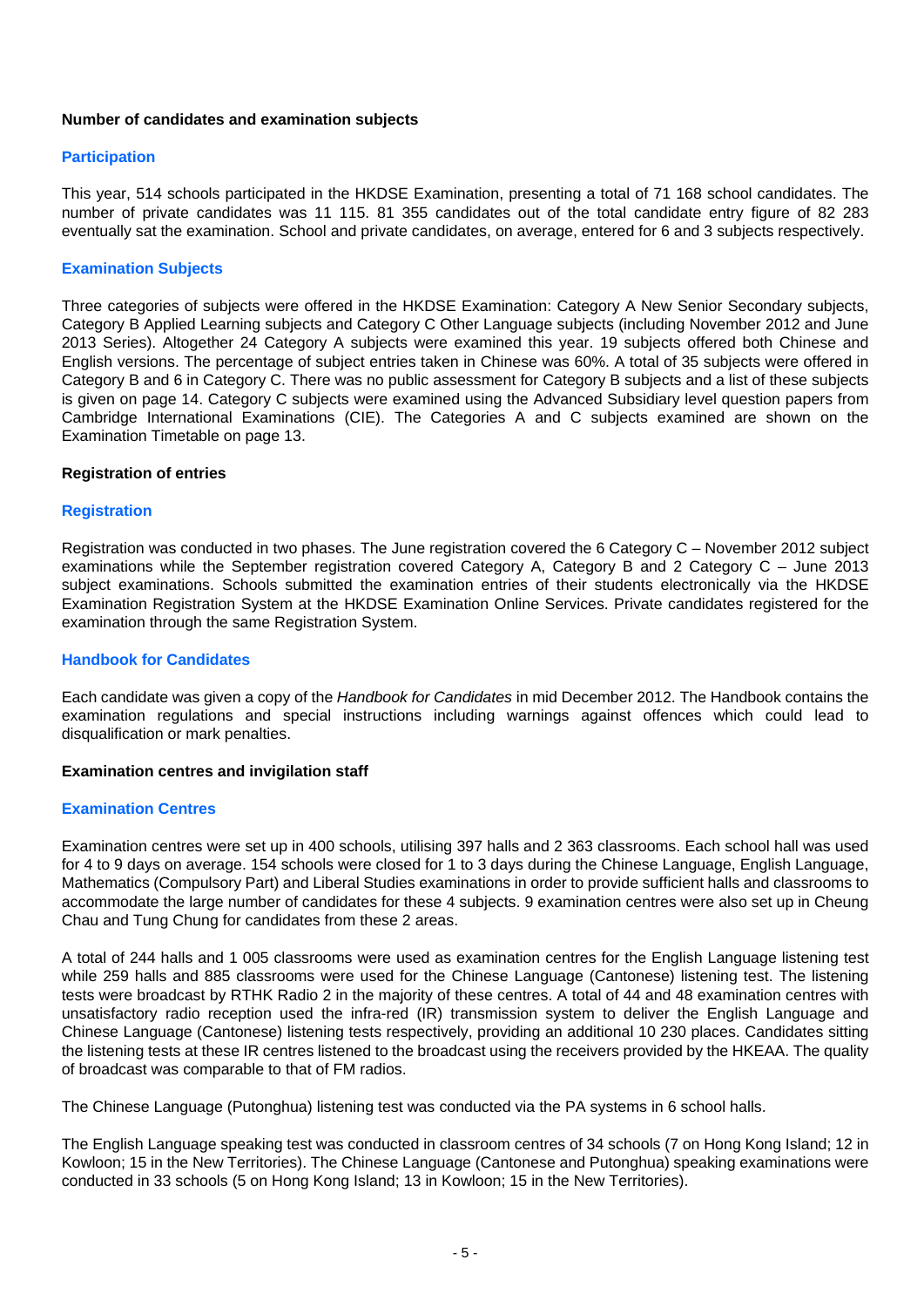## **Number of candidates and examination subjects**

## **Participation**

This year, 514 schools participated in the HKDSE Examination, presenting a total of 71 168 school candidates. The number of private candidates was 11 115. 81 355 candidates out of the total candidate entry figure of 82 283 eventually sat the examination. School and private candidates, on average, entered for 6 and 3 subjects respectively.

## **Examination Subjects**

Three categories of subjects were offered in the HKDSE Examination: Category A New Senior Secondary subjects, Category B Applied Learning subjects and Category C Other Language subjects (including November 2012 and June 2013 Series). Altogether 24 Category A subjects were examined this year. 19 subjects offered both Chinese and English versions. The percentage of subject entries taken in Chinese was 60%. A total of 35 subjects were offered in Category B and 6 in Category C. There was no public assessment for Category B subjects and a list of these subjects is given on page 14. Category C subjects were examined using the Advanced Subsidiary level question papers from Cambridge International Examinations (CIE). The Categories A and C subjects examined are shown on the Examination Timetable on page 13.

# **Registration of entries**

#### **Registration**

Registration was conducted in two phases. The June registration covered the 6 Category C – November 2012 subject examinations while the September registration covered Category A, Category B and 2 Category C – June 2013 subject examinations. Schools submitted the examination entries of their students electronically via the HKDSE Examination Registration System at the HKDSE Examination Online Services. Private candidates registered for the examination through the same Registration System.

## **Handbook for Candidates**

Each candidate was given a copy of the *Handbook for Candidates* in mid December 2012. The Handbook contains the examination regulations and special instructions including warnings against offences which could lead to disqualification or mark penalties.

## **Examination centres and invigilation staff**

#### **Examination Centres**

Examination centres were set up in 400 schools, utilising 397 halls and 2 363 classrooms. Each school hall was used for 4 to 9 days on average. 154 schools were closed for 1 to 3 days during the Chinese Language, English Language, Mathematics (Compulsory Part) and Liberal Studies examinations in order to provide sufficient halls and classrooms to accommodate the large number of candidates for these 4 subjects. 9 examination centres were also set up in Cheung Chau and Tung Chung for candidates from these 2 areas.

A total of 244 halls and 1 005 classrooms were used as examination centres for the English Language listening test while 259 halls and 885 classrooms were used for the Chinese Language (Cantonese) listening test. The listening tests were broadcast by RTHK Radio 2 in the majority of these centres. A total of 44 and 48 examination centres with unsatisfactory radio reception used the infra-red (IR) transmission system to deliver the English Language and Chinese Language (Cantonese) listening tests respectively, providing an additional 10 230 places. Candidates sitting the listening tests at these IR centres listened to the broadcast using the receivers provided by the HKEAA. The quality of broadcast was comparable to that of FM radios.

The Chinese Language (Putonghua) listening test was conducted via the PA systems in 6 school halls.

The English Language speaking test was conducted in classroom centres of 34 schools (7 on Hong Kong Island; 12 in Kowloon; 15 in the New Territories). The Chinese Language (Cantonese and Putonghua) speaking examinations were conducted in 33 schools (5 on Hong Kong Island; 13 in Kowloon; 15 in the New Territories).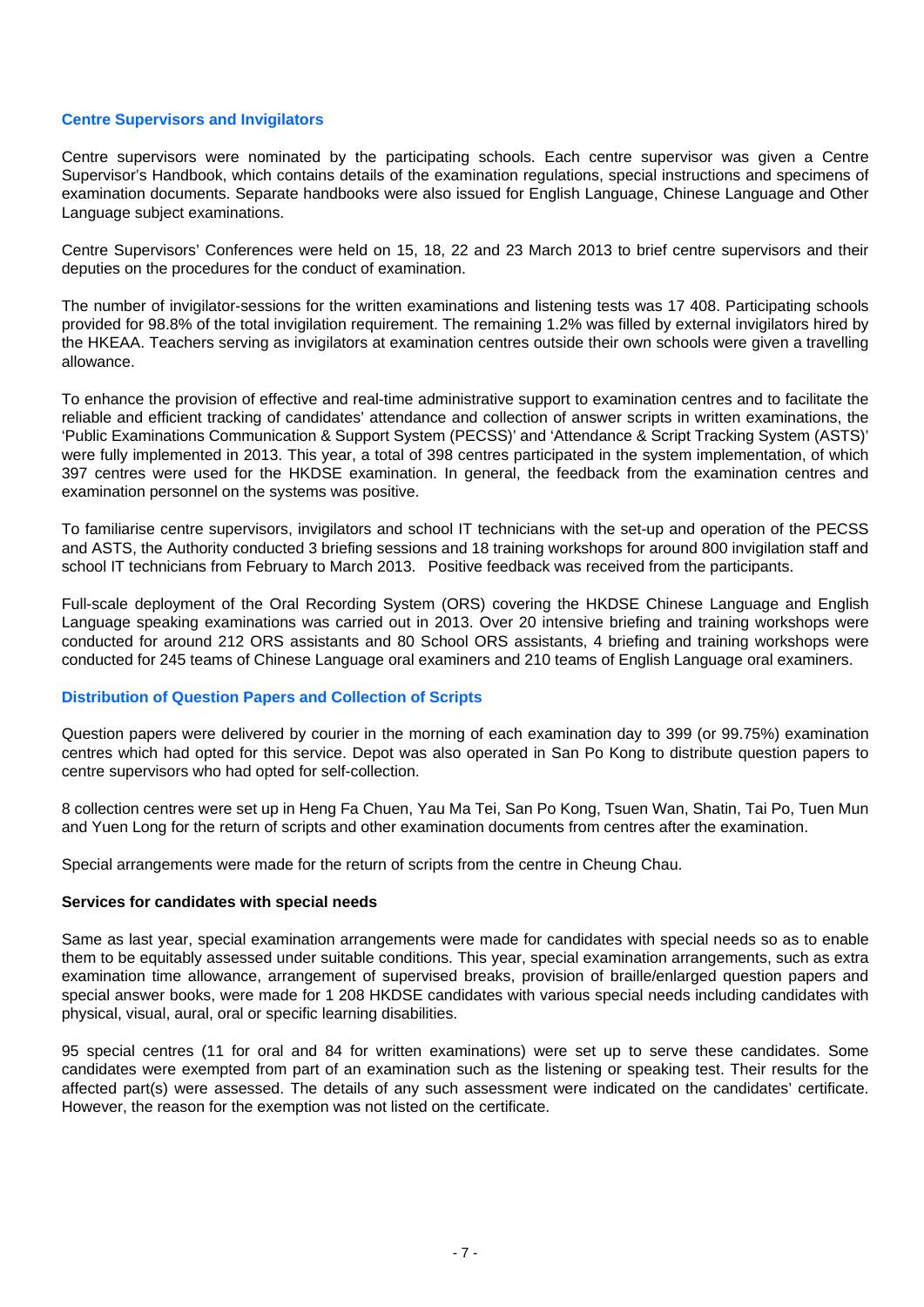## **Centre Supervisors and Invigilators**

Centre supervisors were nominated by the participating schools. Each centre supervisor was given a Centre Supervisor's Handbook, which contains details of the examination regulations, special instructions and specimens of examination documents. Separate handbooks were also issued for English Language, Chinese Language and Other Language subject examinations.

Centre Supervisors' Conferences were held on 15, 18, 22 and 23 March 2013 to brief centre supervisors and their deputies on the procedures for the conduct of examination.

The number of invigilator-sessions for the written examinations and listening tests was 17 408. Participating schools provided for 98.8% of the total invigilation requirement. The remaining 1.2% was filled by external invigilators hired by the HKEAA. Teachers serving as invigilators at examination centres outside their own schools were given a travelling allowance.

To enhance the provision of effective and real-time administrative support to examination centres and to facilitate the reliable and efficient tracking of candidates' attendance and collection of answer scripts in written examinations, the 'Public Examinations Communication & Support System (PECSS)' and 'Attendance & Script Tracking System (ASTS)' were fully implemented in 2013. This year, a total of 398 centres participated in the system implementation, of which 397 centres were used for the HKDSE examination. In general, the feedback from the examination centres and examination personnel on the systems was positive.

To familiarise centre supervisors, invigilators and school IT technicians with the set-up and operation of the PECSS and ASTS, the Authority conducted 3 briefing sessions and 18 training workshops for around 800 invigilation staff and school IT technicians from February to March 2013. Positive feedback was received from the participants.

Full-scale deployment of the Oral Recording System (ORS) covering the HKDSE Chinese Language and English Language speaking examinations was carried out in 2013. Over 20 intensive briefing and training workshops were conducted for around 212 ORS assistants and 80 School ORS assistants, 4 briefing and training workshops were conducted for 245 teams of Chinese Language oral examiners and 210 teams of English Language oral examiners.

#### **Distribution of Question Papers and Collection of Scripts**

Question papers were delivered by courier in the morning of each examination day to 399 (or 99.75%) examination centres which had opted for this service. Depot was also operated in San Po Kong to distribute question papers to centre supervisors who had opted for self-collection.

8 collection centres were set up in Heng Fa Chuen, Yau Ma Tei, San Po Kong, Tsuen Wan, Shatin, Tai Po, Tuen Mun and Yuen Long for the return of scripts and other examination documents from centres after the examination.

Special arrangements were made for the return of scripts from the centre in Cheung Chau.

#### **Services for candidates with special needs**

Same as last year, special examination arrangements were made for candidates with special needs so as to enable them to be equitably assessed under suitable conditions. This year, special examination arrangements, such as extra examination time allowance, arrangement of supervised breaks, provision of braille/enlarged question papers and special answer books, were made for 1 208 HKDSE candidates with various special needs including candidates with physical, visual, aural, oral or specific learning disabilities.

95 special centres (11 for oral and 84 for written examinations) were set up to serve these candidates. Some candidates were exempted from part of an examination such as the listening or speaking test. Their results for the affected part(s) were assessed. The details of any such assessment were indicated on the candidates' certificate. However, the reason for the exemption was not listed on the certificate.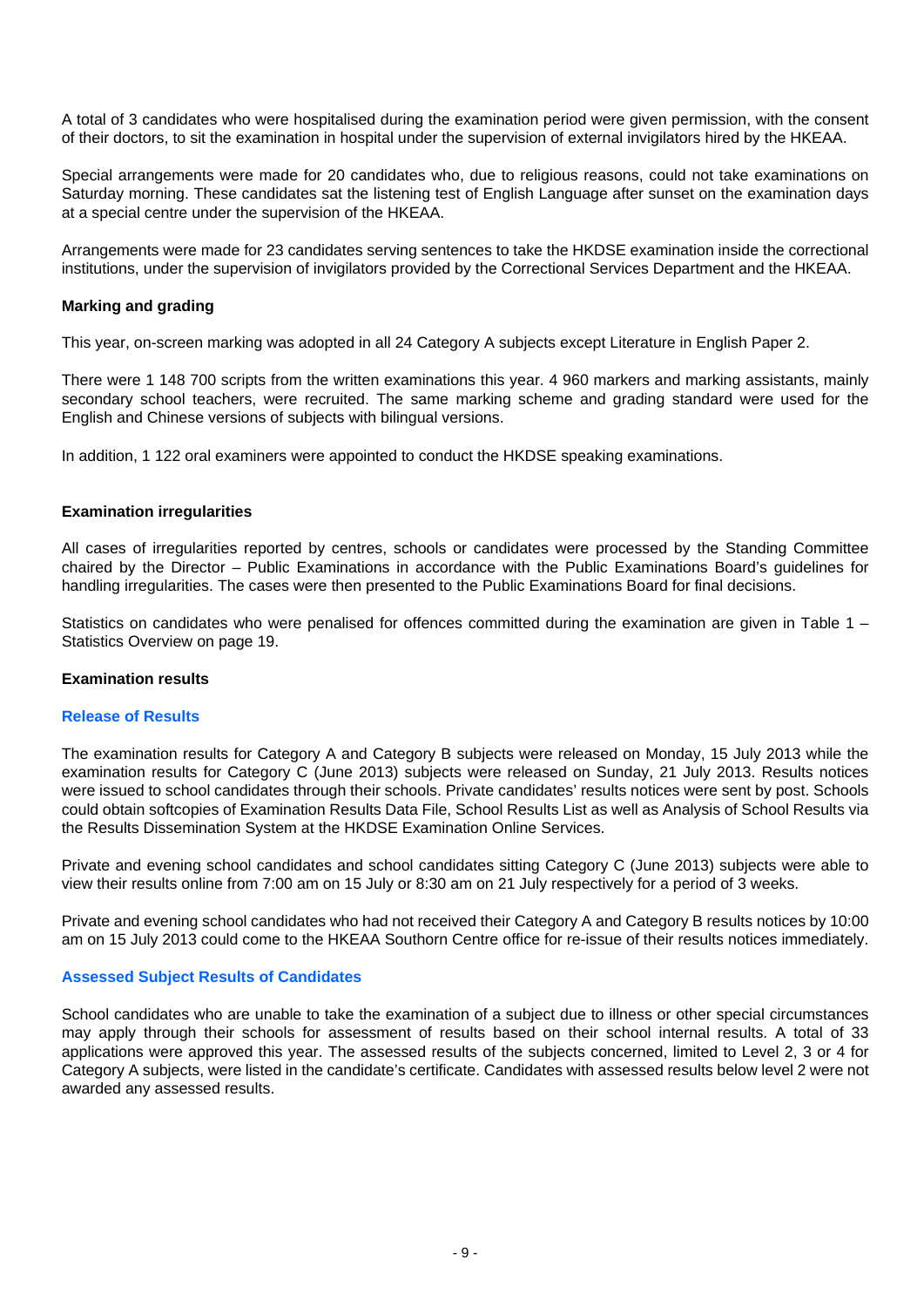A total of 3 candidates who were hospitalised during the examination period were given permission, with the consent of their doctors, to sit the examination in hospital under the supervision of external invigilators hired by the HKEAA.

Special arrangements were made for 20 candidates who, due to religious reasons, could not take examinations on Saturday morning. These candidates sat the listening test of English Language after sunset on the examination days at a special centre under the supervision of the HKEAA.

Arrangements were made for 23 candidates serving sentences to take the HKDSE examination inside the correctional institutions, under the supervision of invigilators provided by the Correctional Services Department and the HKEAA.

## **Marking and grading**

This year, on-screen marking was adopted in all 24 Category A subjects except Literature in English Paper 2.

There were 1 148 700 scripts from the written examinations this year. 4 960 markers and marking assistants, mainly secondary school teachers, were recruited. The same marking scheme and grading standard were used for the English and Chinese versions of subjects with bilingual versions.

In addition, 1 122 oral examiners were appointed to conduct the HKDSE speaking examinations.

## **Examination irregularities**

All cases of irregularities reported by centres, schools or candidates were processed by the Standing Committee chaired by the Director – Public Examinations in accordance with the Public Examinations Board's guidelines for handling irregularities. The cases were then presented to the Public Examinations Board for final decisions.

Statistics on candidates who were penalised for offences committed during the examination are given in Table 1 – Statistics Overview on page 19.

### **Examination results**

# **Release of Results**

The examination results for Category A and Category B subjects were released on Monday, 15 July 2013 while the examination results for Category C (June 2013) subjects were released on Sunday, 21 July 2013. Results notices were issued to school candidates through their schools. Private candidates' results notices were sent by post. Schools could obtain softcopies of Examination Results Data File, School Results List as well as Analysis of School Results via the Results Dissemination System at the HKDSE Examination Online Services.

Private and evening school candidates and school candidates sitting Category C (June 2013) subjects were able to view their results online from 7:00 am on 15 July or 8:30 am on 21 July respectively for a period of 3 weeks.

Private and evening school candidates who had not received their Category A and Category B results notices by 10:00 am on 15 July 2013 could come to the HKEAA Southorn Centre office for re-issue of their results notices immediately.

## **Assessed Subject Results of Candidates**

School candidates who are unable to take the examination of a subject due to illness or other special circumstances may apply through their schools for assessment of results based on their school internal results. A total of 33 applications were approved this year. The assessed results of the subjects concerned, limited to Level 2, 3 or 4 for Category A subjects, were listed in the candidate's certificate. Candidates with assessed results below level 2 were not awarded any assessed results.